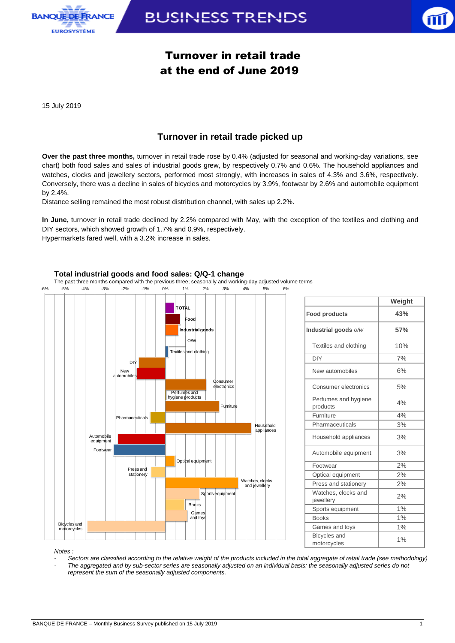

# **BUSINESS TRENDS**



# Turnover in retail trade at the end of June 2019

15 July 2019

## **Turnover in retail trade picked up**

**Over the past three months,** turnover in retail trade rose by 0.4% (adjusted for seasonal and working-day variations, see chart) both food sales and sales of industrial goods grew, by respectively 0.7% and 0.6%. The household appliances and watches, clocks and jewellery sectors, performed most strongly, with increases in sales of 4.3% and 3.6%, respectively. Conversely, there was a decline in sales of bicycles and motorcycles by 3.9%, footwear by 2.6% and automobile equipment by 2.4%.

Distance selling remained the most robust distribution channel, with sales up 2.2%.

**In June,** turnover in retail trade declined by 2.2% compared with May, with the exception of the textiles and clothing and DIY sectors, which showed growth of 1.7% and 0.9%, respectively. Hypermarkets fared well, with a 3.2% increase in sales.



### **Total industrial goods and food sales: Q/Q-1 change**

|                                    | Weight |
|------------------------------------|--------|
| <b>Food products</b>               | 43%    |
| Industrial goods o/w               | 57%    |
| Textiles and clothing              | 10%    |
| <b>DIY</b>                         | 7%     |
| New automobiles                    | 6%     |
| Consumer electronics               | 5%     |
| Perfumes and hygiene<br>products   | 4%     |
| Furniture                          | 4%     |
| Pharmaceuticals                    | 3%     |
| Household appliances               | 3%     |
| Automobile equipment               | 3%     |
| Footwear                           | 2%     |
| Optical equipment                  | 2%     |
| Press and stationery               | 2%     |
| Watches, clocks and<br>jewellery   | 2%     |
| Sports equipment                   | 1%     |
| <b>Books</b>                       | 1%     |
| Games and toys                     | 1%     |
| <b>Bicycles</b> and<br>motorcycles | 1%     |

*Notes :* 

*- Sectors are classified according to the relative weight of the products included in the total aggregate of retail trade (see methodology) - The aggregated and by sub-sector series are seasonally adjusted on an individual basis: the seasonally adjusted series do not represent the sum of the seasonally adjusted components.*